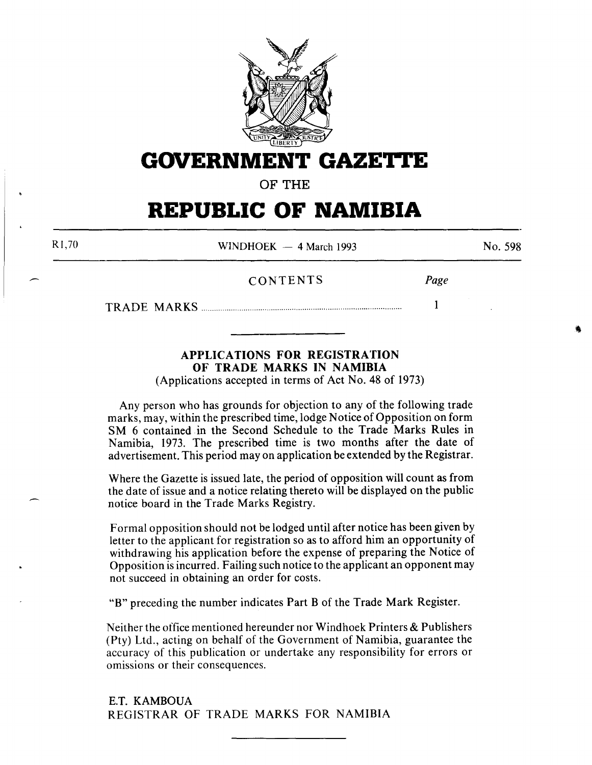

**GOVERNMENT GAZETrE** 

**OF THE** 

# **REPUBLIC OF NAMIBIA**

Rl,70

WINDHOEK  $-4$  March 1993

No. 598

CONTENTS *Page* 

TRADE MARKS............................................................................................... **1** 

# **APPLICATIONS FOR REGISTRATION OF TRADE MARKS IN NAMIBIA**

(Applications accepted in terms of Act No. 48 of 1973)

Any person who has grounds for objection to any of the following trade marks, may, within the prescribed time, lodge Notice of Opposition on form SM 6 contained in the Second Schedule to the Trade Marks Rules in Namibia, 1973. The prescribed time is two months after the date of advertisement. This period may on application be extended by the Registrar.

Where the Gazette is issued late, the period of opposition will count as from the date of issue and a notice relating thereto will be displayed on the public notice board in the Trade Marks Registry.

Formal opposition should not be lodged until after notice has been given by letter to the applicant for registration so as to afford him an opportunity of withdrawing his application before the expense of preparing the Notice of Opposition is incurred. Failing such notice to the applicant an opponent may not succeed in obtaining an order for costs.

**"B"** preceding the number indicates Part **B** of the Trade Mark Register.

Neither the office mentioned hereunder nor Windhoek Printers & Publishers (Pty) Ltd., acting on behalf of the Government of Namibia, guarantee the accuracy of this publication or undertake any responsibility for errors or omissions or their consequences.

E.T. KAMBOUA REGISTRAR OF TRADE MARKS FOR NAMIBIA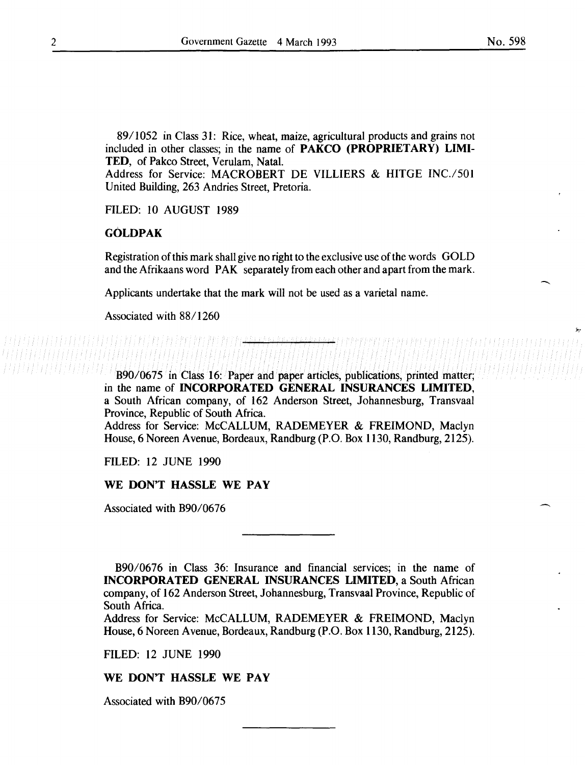89/1052 in Class 31: Rice, wheat, maize, agricultural products and grains not included in other classes; in the name of PAKCO (PROPRIETARY) LIMI-TED, of Pakco Street, Verulam, Natal.

Address for Service: MACROBERT DE VILLIERS & HITGE INC./501 United Building, 263 Andries Street, Pretoria.

FILED: 10 AUGUST 1989

#### GOLDPAK

Registration of this mark shall give no right to the exclusive use of the words GOLD and the Afrikaans word PAK separately from each other and apart from the mark.

Applicants undertake that the mark will not be used as a varietal name.

Associated with 88/1260

B90/0675 in Class 16: Paper and paper articles, publications, printed matter; in the name of INCORPORATED GENERAL INSURANCES LIMITED, a South African company, of 162 Anderson Street, Johannesburg, Transvaal Province, Republic of South Africa.

Address for Service: McCALLUM, RADEMEYER & FREIMOND, Maclyn House, 6 Noreen Avenue, Bordeaux, Randburg (P.O. Box 1130, Randburg, 2125).

FILED: 12 JUNE 1990

#### WE DON'T HASSLE WE PAY

Associated with B90/0676

B90/0676 in Class 36: Insurance and financial services; in the name of INCORPORATED GENERAL INSURANCES LIMITED, a South African company, of 162 Anderson Street, Johannesburg, Transvaal Province, Republic of South Africa.

Address for Service: McCALLUM, RADEMEYER & FREIMOND, Maclyn House, 6 Noreen Avenue, Bordeaux, Randburg (P.O. Box 1130, Randburg, 2125).

FILED: 12 JUNE 1990

#### WE DON'T HASSLE WE PAY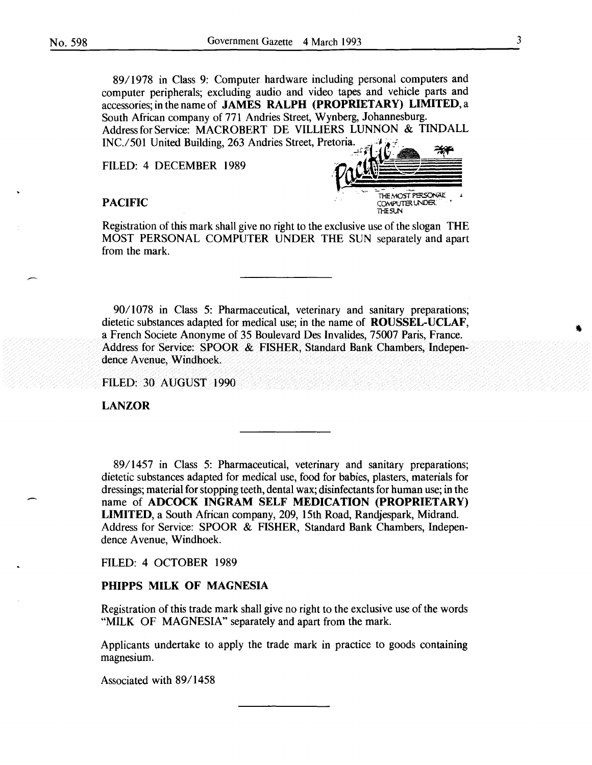89/1978 in Class 9: Computer hardware including personal computers and computer peripherals; excluding audio and video tapes and vehicle parts and accessories; in the name of JAMES RALPH (PROPRIETARY) LIMITED, a South African company of 771 Andries Street, Wynberg, Johannesburg. Address for Service: MACROBERT DE VILLIERS LUNNON & TINDALL INC./501 United Building, 263 Andries Street, Pretoria.

FILED: 4 DECEMBER 1989



Registration of this mark shall give no right to the exclusive use of the slogan THE MOST PERSONAL COMPUTER UNDER THE SUN separately and apart from the mark.

90/ 1078 in Class 5: Pharmaceutical, veterinary and sanitary preparations; dietetic substances adapted for medical use; in the name of ROUSSEL-UCLAF, a French Societe Anonyme of 35 Boulevard Des Invalides, 75007 Paris, France. Address for Service: SPOOR & FISHER, Standard Bank Chambers, Independence Avenue, Windhoek.

FILED: 30 AUGUST 1990

LANZOR

89/1457 in Class 5: Pharmaceutical, veterinary and sanitary preparations; dietetic substances adapted for medical use, food for babies, plasters, materials for dressings; material for stopping teeth, dental wax; disinfectants for human use; in the name of ADCOCK INGRAM SELF MEDICATION (PROPRIETARY) LIMITED, a South African company, 209, 15th Road, Randjespark, Midrand. Address for Service: SPOOR & FISHER, Standard Bank Chambers, Independence Avenue, Windhoek.

FILED: 4 OCTOBER 1989

# PHIPPS MILK OF MAGNESIA

Registration of this trade mark shall give no right to the exclusive use of the words "MILK OF MAGNESIA" separately and apart from the mark.

Applicants undertake to apply the trade mark in practice to goods containing magnesium.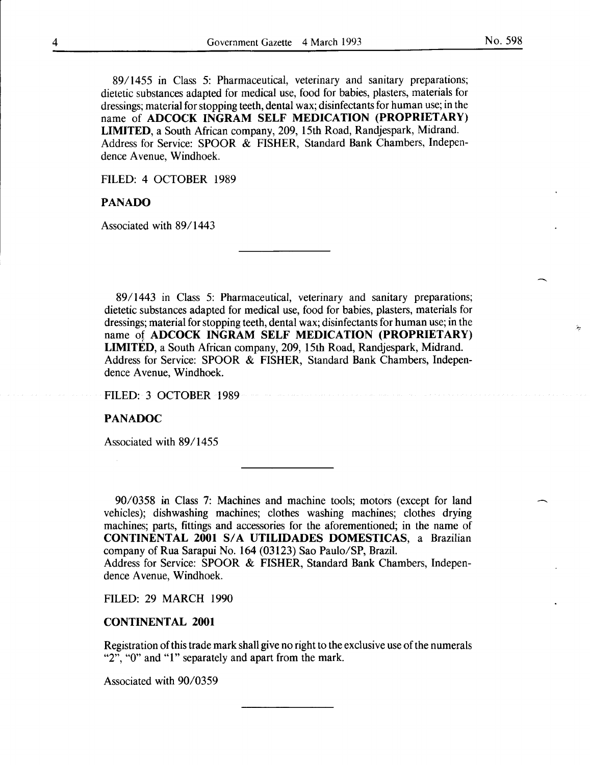89/1455 in Class 5: Pharmaceutical, veterinary and sanitary preparations; dietetic substances adapted for medical use, food for babies, plasters, materials for dressings; material for stopping teeth, dental wax; disinfectants for human use; in the name of ADCOCK INGRAM SELF MEDICATION (PROPRIETARY) LIMITED, a South African company, 209, 15th Road, Randjespark, Midrand. Address for Service: SPOOR & FISHER, Standard Bank Chambers, Independence Avenue, Windhoek.

FILED: 4 OCTOBER 1989

#### PANADO

Associated with 89/1443

89/1443 in Class 5: Pharmaceutical, veterinary and sanitary preparations; dietetic substances adapted for medical use, food for babies, plasters, materials for dressings; material for stopping teeth, dental wax; disinfectants for human use; in the name of ADCOCK INGRAM SELF MEDICATION (PROPRIETARY) LIMITED, a South African company, 209, 15th Road, Randjespark, Midrand. Address for Service: SPOOR & FISHER, Standard Bank Chambers, Independence Avenue, Windhoek.

FILED: 3 OCTOBER 1989

#### PANADOC

Associated with 89/1455

90/0358 in Class 7: Machines and machine tools; motors (except for land vehicles); dishwashing machines; clothes washing machines; clothes drying machines; parts, fittings and accessories for the aforementioned; in the name of CONTINENTAL 2001 S/A UTILIDADES DOMESTICAS, a Brazilian company of Rua Sarapui No. 164 (03123) Sao Paulo/SP, Brazil.

Address for Service: SPOOR & FISHER, Standard Bank Chambers, Independence Avenue, Windhoek.

FILED: 29 MARCH 1990

#### CONTINENTAL 2001

Registration of this trade mark shall give no right to the exclusive use of the numerals " $2$ ", " $0$ " and "1" separately and apart from the mark.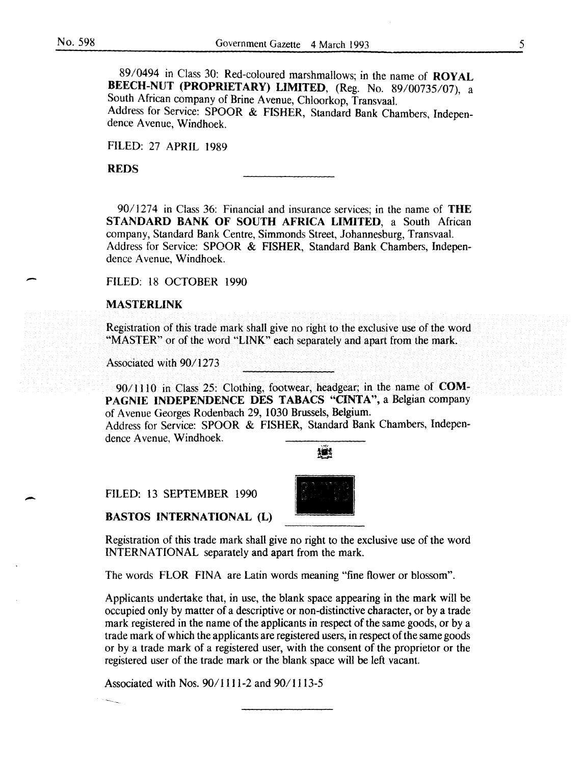-

89/0494 in Class 30: Red-coloured marshmallows; in the name of ROYAL BEECH-NUT (PROPRIETARY) LIMITED, (Reg. No. 89/00735/07), a South African company of Brine A venue, Chloorkop, Transvaal. Address for Service: SPOOR & FISHER, Standard Bank Chambers, Independence A venue, Windhoek.

FILED: 27 APRIL 1989

REDS

90/1274 in Class 36: Financial and insurance services; in the name of THE STANDARD BANK OF SOUTH AFRICA LIMITED, a South African company, Standard Bank Centre, Simmonds Street, Johannesburg, Transvaal. Address for Service: SPOOR & FISHER, Standard Bank Chambers, Independence A venue, Windhoek.

FILED: 18 OCTOBER 1990

#### MASTERLINK

Registration of this trade mark shall give no right to the exclusive use of the word "MASTER" or of the word "LINK" each separately and apart from the mark.

Associated with 90/1273

90/1110 in Class 25: Clothing, footwear, headgear; in the name of COM-PAGNIE INDEPENDENCE DES TABACS "CINTA", a Belgian company of Avenue Georges Rodenbach 29, 1030 Brussels, Belgium.

Address for Service: SPOOR & FISHER, Standard Bank Chambers, Independence A venue, Windhoek.

撫崎

FILED: 13 SEPTEMBER 1990

BASTOS INTERNATIONAL (L)



Registration of this trade mark shall give no right to the exclusive use of the word INTERNATIONAL separately and apart from the mark.

The words FLOR FINA are Latin words meaning "fine flower or blossom".

Applicants undertake that, in use, the blank space appearing in the mark will be occupied only by matter of a descriptive or non-distinctive character, or by a trade mark registered in the name of the applicants in respect of the same goods, or by a trade mark of which the applicants are registered users, in respect of the same goods or by a trade mark of a registered user, with the consent of the proprietor or the registered user of the trade mark or the blank space will be left vacant.

Associated with Nos. 90/1111-2 and 90/1113-5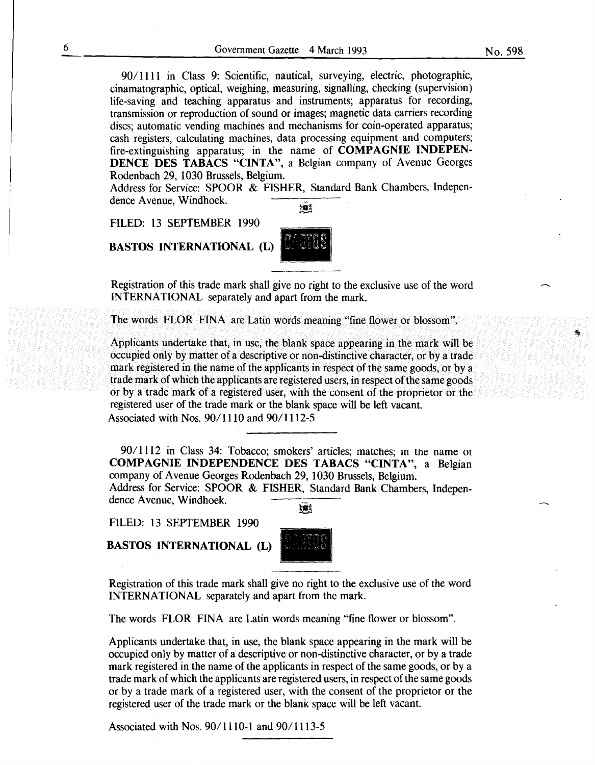90/1111 in Class 9: Scientific, nautical, surveying, electric, photographic, cinamatographic, optical, weighing, measuring, signalling, checking (supervision) life-saving and teaching apparatus and instruments; apparatus for recording, transmission or reproduction of sound or images; magnetic data carriers recording discs; automatic vending machines and mechanisms for coin-operated apparatus; cash registers, calculating machines, data processing equipment and computers; fire-extinguishing apparatus; in the name of COMPAGNIE INDEPEN-DENCE DES TABACS "CINTA", a Belgian company of Avenue Georges Rodenbach 29, 1030 Brussels, Belgium.

Address for Service: SPOOR & FISHER, Standard Bank Chambers, Independence Avenue, Windhoek. 擁

FILED: 13 SEPTEMBER 1990

BASTOS INTERNATIONAL (L)



The words FLOR FINA are Latin words meaning "fine flower or blossom".

Applicants undertake that, in use, the blank space appearing in the mark will be occupied only by matter of a descriptive or non-distinctive character, or by a trade mark registered in the name of the applicants in respect of the same goods, or by a trade mark of which the applicants are registered users, in respect of the same goods or by a trade mark of a registered user, with the consent of the proprietor or the registered user of the trade mark or the blank space will be left vacant. Associated with Nos. 90/1110 and 90/1112-5

9011112 in Class 34: Tobacco; smokers' articles; matches; m the name or COMPAGNIE INDEPENDENCE DES TABACS "CINTA", a Belgian company of A venue Georges Rodenbach 29, 1030 Brussels, Belgium.

Address for Service: SPOOR & FISHER, Standard Bank Chambers, Independence Avenue, Windhoek. 植

FILED: 13 SEPTEMBER 1990

BASTOS INTERNATIONAL (L)



Registration of this trade mark shall give no right to the exclusive use of the word INTERNATIONAL separately and apart from the mark.

The words FLOR FINA are Latin words meaning "fine flower or blossom".

Applicants undertake that, in use, the blank space appearing in the mark will be occupied only by matter of a descriptive or non-distinctive character, or by a trade mark registered in the name of the applicants in respect of the same goods, or by a trade mark of which the applicants are registered users, in respect of the same goods or by a trade mark of a registered user, with the consent of the proprietor or the registered user of the trade mark or the blank space will be left vacant.

Associated with Nos.  $90/1110-1$  and  $90/1113-5$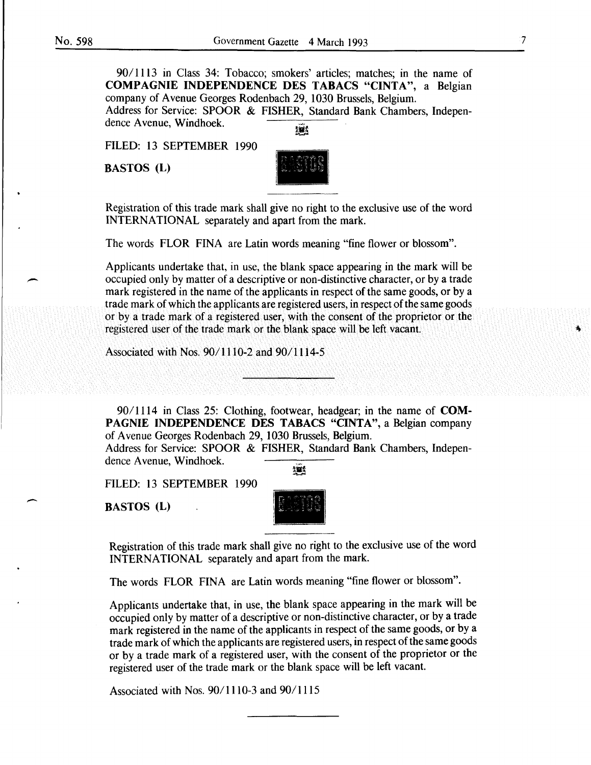*901* 1113 in Class 34: Tobacco; smokers' articles; matches; in the name of COMPAGNIE INDEPENDENCE DES TABACS "CINTA", a Belgian company of A venue Georges Rodenbach 29, 1030 Brussels, Belgium. Address for Service: SPOOR & FISHER, Standard Bank Chambers, Independence Avenue, Windhoek. 獵

FILED: 13 SEPTEMBER 1990

BASTOS (L)



Registration of this trade mark shall give no right to the exclusive use of the word INTERNATIONAL separately and apart from the mark.

The words FLOR FINA are Latin words meaning "fine flower or blossom".

Applicants undertake that, in use, the blank space appearing in the mark will be occupied only by matter of a descriptive or non-distinctive character, or by a trade mark registered in the name of the applicants in respect of the same goods, or by a trade mark of which the applicants are registered users, in respect of the same goods or by a trade mark of a registered user, with the consent of the proprietor or the registered user of the trade mark or the blank space will be left vacant.

Associated with Nos. 90/1110-2 and 90/1114-5

90/1114 in Class 25: Clothing, footwear, headgear; in the name of **COM-**PAGNIE INDEPENDENCE DES TABACS "CINTA", a Belgian company of A venue Georges Roden bach 29, 1030 Brussels, Belgium.

Address for Service: SPOOR & FISHER, Standard Bank Chambers, Independence Avenue, Windhoek. 继

FILED: 13 SEPTEMBER 1990

BASTOS (L)

 $\overline{\phantom{a}}$ 



Registration of this trade mark shall give no right to the exclusive use of the word INTERNATIONAL separately and apart from the mark.

The words FLOR FINA are Latin words meaning "fine flower or blossom".

Applicants undertake that, in use, the blank space appearing in the mark will be occupied only by matter of a descriptive or non-distinctive character, or by a trade mark registered in the name of the applicants in respect of the same goods, or by a trade mark of which the applicants are registered users, in respect of the same goods or by a trade mark of a registered user, with the consent of the proprietor or the registered user of the trade mark or the blank space will be left vacant.

Associated with Nos.  $90/1110-3$  and  $90/1115$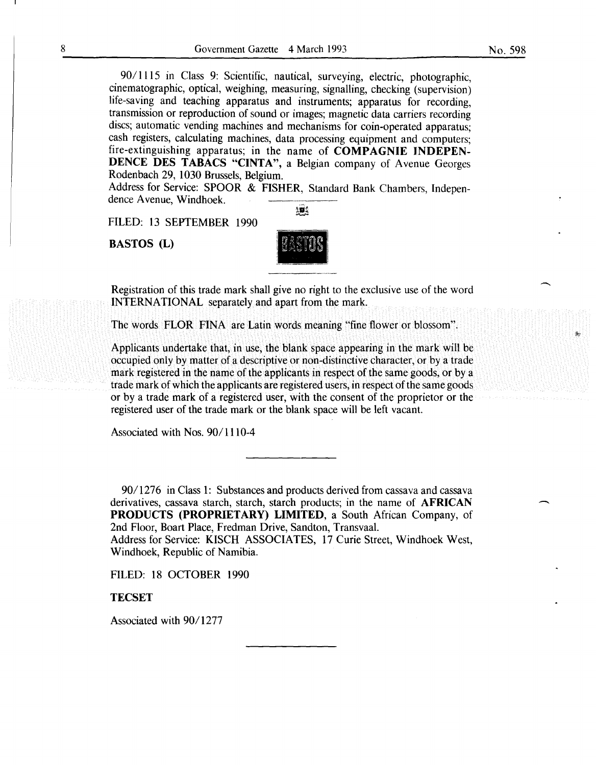90/1115 in Class 9: Scientific, nautical, surveying, electric, photographic, cinematographic, optical, weighing, measuring, signalling, checking (supervision) life-saving and teaching apparatus and instruments; apparatus for recording, transmission or reproduction of sound or images; magnetic data carriers recording discs; automatic vending machines and mechanisms for coin-operated apparatus; cash registers, calculating machines, data processing equipment and computers; fire-extinguishing apparatus; in the name of COMPAGNIE INDEPEN-DENCE DES TABACS "CINTA", a Belgian company of Avenue Georges Rodenbach 29, 1030 Brussels, Belgium.

Address for Service: SPOOR & FISHER, Standard Bank Chambers, Independence Avenue, Windhoek.

FILED: 13 SEPTEMBER 1990

BASTOS (L)



 $\mathbf{10}$ 

Registration of this trade mark shall give no right to the exclusive use of the word INTERNATIONAL separately and apart from the mark.

The words FLOR FINA are Latin words meaning "fine flower or blossom".

Applicants undertake that, in use, the blank space appearing in the mark will be occupied only by matter of a descriptive or non-distinctive character, or by a trade mark registered in the name of the applicants in respect of the same goods, or by a trade mark of which the applicants are registered users, in respect of the same goods or by a trade mark of a registered user, with the consent of the proprietor or the registered user of the trade mark or the blank space will be left vacant.

Associated with Nos. 90/1110-4

90/1276 in Class 1: Substances and products derived from cassava and cassava derivatives, cassava starch, starch, starch products; in the name of AFRICAN PRODUCTS (PROPRIETARY) LIMITED, a South African Company, of 2nd Floor, Boart Place, Fredman Drive, Sandton, Transvaal.

Address for Service: KISCH ASSOCIATES, 17 Curie Street, Windhoek West, Windhoek, Republic of Namibia.

FILED: 18 OCTOBER 1990

**TECSET** 

Associated with 90/1277

 $\overline{\phantom{a}}$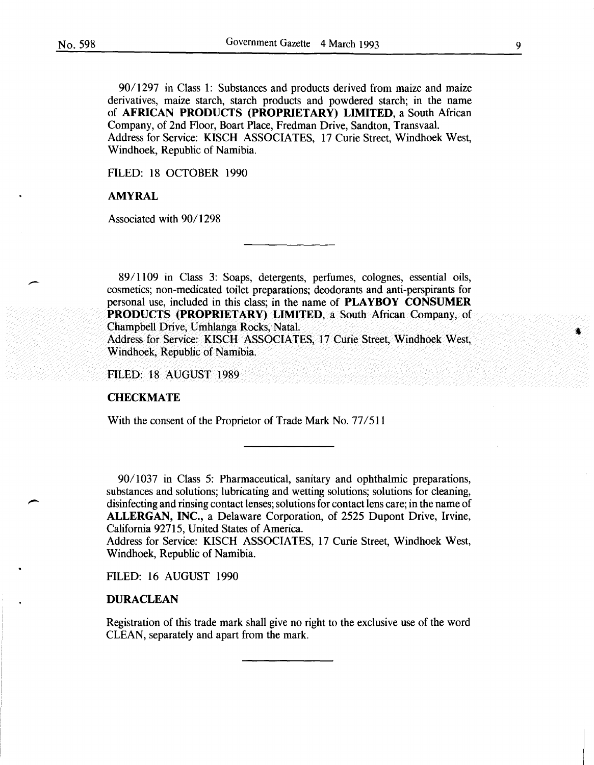90/ 1297 in Class 1: Substances and products derived from maize and maize derivatives, maize starch, starch products and powdered starch; in the name of AFRICAN PRODUCTS (PROPRIETARY) LIMITED, a South African Company, of 2nd Floor, Boart Place, Fredman Drive, Sandton, Transvaal. Address for Service: KISCH ASSOCIATES, 17 Curie Street, Windhoek West, Windhoek, Republic of Namibia.

FILED: 18 OCTOBER 1990

# AMYRAL

Associated with 90/1298

89/1109 in Class 3: Soaps, detergents, perfumes, colognes, essential oils, cosmetics; non-medicated toilet preparations; deodorants and anti-perspirants for personal use, included in this class; in the name of PLAYBOY CONSUMER PRODUCTS (PROPRIETARY) LIMITED, a South African Company, of Champbell Drive, Umhlanga Rocks, Natal.

Address for Service: KISCH ASSOCIATES, 17 Curie Street, Windhoek West, Windhoek, Republic of Namibia.

FILED: 18 AUGUST 1989

#### **CHECKMATE**

With the consent of the Proprietor of Trade Mark No. 77/511

90/1037 in Class 5: Pharmaceutical, sanitary and ophthalmic preparations, substances and solutions; lubricating and wetting solutions; solutions for cleaning, disinfecting and rinsing contact lenses; solutions for contact lens care; in the name of ALLERGAN, INC., a Delaware Corporation, of 2525 Dupont Drive, Irvine, California 92715, United States of America.

Address for Service: KISCH ASSOCIATES, 17 Curie Street, Windhoek West, Windhoek, Republic of Namibia.

FILED: 16 AUGUST 1990

#### **DURACLEAN**

Registration of this trade mark shall give no right to the exclusive use of the word CLEAN, separately and apart from the mark.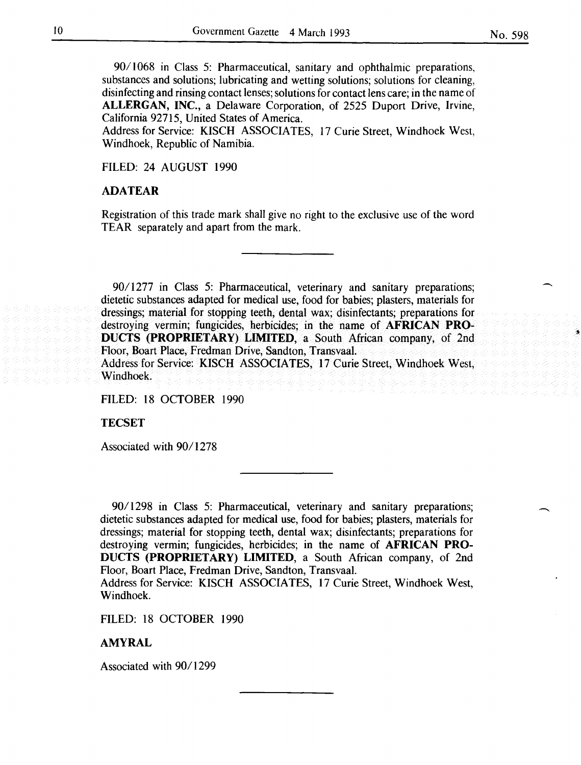90/1068 in Class 5: Pharmaceutical, sanitary and ophthalmic preparations, substances and solutions; lubricating and wetting solutions; solutions for cleaning, disinfecting and rinsing contact lenses; solutions for contact lens care; in the name of **ALLERGAN, INC.,** a Delaware Corporation, of 2525 Duport Drive, Irvine, California 92715, United States of America.

Address for Service: KISCH ASSOCIATES, 17 Curie Street, Windhoek West, Windhoek, Republic of Namibia.

FILED: 24 AUGUST 1990

# **ADA TEAR**

Registration of this trade mark shall give no right to the exclusive use of the word TEAR separately and apart from the mark.

9011277 in Class 5: Pharmaceutical, veterinary and sanitary preparations; dietetic substances adapted for medical use, food for babies; plasters, materials for dressings; material for stopping teeth, dental wax; disinfectants; preparations for destroying vermin; fungicides, herbicides; in the name of **AFRICAN PRO-DUCTS (PROPRIETARY) LIMITED,** a South African company, of 2nd Hoor, Boart Place, Fredman Drive, Sandton, Transvaal. Address for Service: KISCH ASSOCIATES, 17 Curie Street, Windhoek West, Windhoek.

FILED: 18 OCTOBER 1990

**TECSET** 

Associated with 90/1278

90/ 1298 in Class 5: Pharmaceutical, veterinary and sanitary preparations; dietetic substances adapted for medical use, food for babies; plasters, materials for dressings; material for stopping teeth, dental wax; disinfectants; preparations for destroying vermin; fungicides, herbicides; in the name of **AFRICAN PRO-DUCTS (PROPRIETARY) LIMITED,** a South African company, of 2nd Floor, Boart Place, Fredman Drive, Sandton, Transvaal.

Address for Service: KISCH ASSOCIATES, 17 Curie Street, Windhoek West, Windhoek.

FILED: 18 OCTOBER 1990

### **AMYRAL**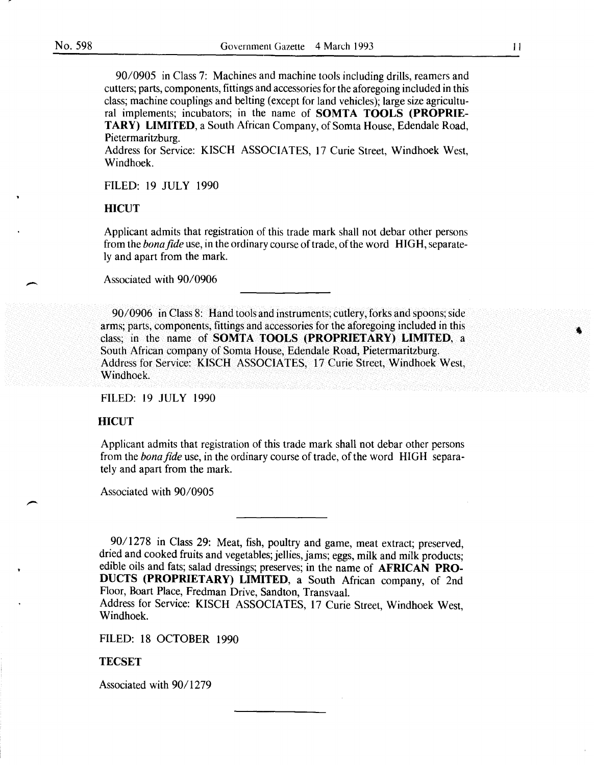90/0905 in Class 7: Machines and machine tools including drills, reamers and cutters; parts, components, fittings and accessories for the aforegoing included in this class; machine couplings and belting (except for land vehicles); large size agricultural implements; incubators; in the name of SOMTA TOOLS (PROPRIE-TARY) LIMITED, a South African Company, of Somta House, Edendale Road, Pietermaritzburg.

Address for Service: KISCH ASSOCIATES, 17 Curie Street, Windhoek West, Windhoek.

FILED: 19 JULY 1990

### **HICUT**

Applicant admits that registration of this trade mark shall not debar other persons from the *bona fide* use, in the ordinary course of trade, of the word HIGH, separately and apart from the mark.

Associated with 90/0906

90/0906 in Class 8: Hand tools and instruments; cutlery, forks and spoons; side arms; parts, components, fittings and accessories for the aforegoing included in this class; in the name of SOMTA TOOLS (PROPRIETARY) LIMITED, a South African company of Somta House, Edendale Road, Pietermaritzburg. Address for Service: KISCH ASSOCIATES, 17 Curie Street, Windhoek West, Windhoek.

FILED: 19 JULY 1990

#### **HICUT**

Applicant admits that registration of this trade mark shall not debar other persons from the *bonafide* use, in the ordinary course of trade, of the word HIGH separately and apart from the mark.

Associated with 90/0905

90/1278 in Class 29: Meat, fish, poultry and game, meat extract; preserved, dried and cooked fruits and vegetables; jellies, jams; eggs, milk and milk products; edible oils and fats; salad dressings; preserves; in the name of AFRICAN PRO-DUCTS (PROPRIETARY) LIMITED, a South African company, of 2nd Floor, Boart Place, Fredman Drive, Sandton, Transvaal.

Address for Service: KISCH ASSOCIATES, 17 Curie Street, Windhoek West, Windhoek.

FILED: 18 OCTOBER 1990

#### TECSET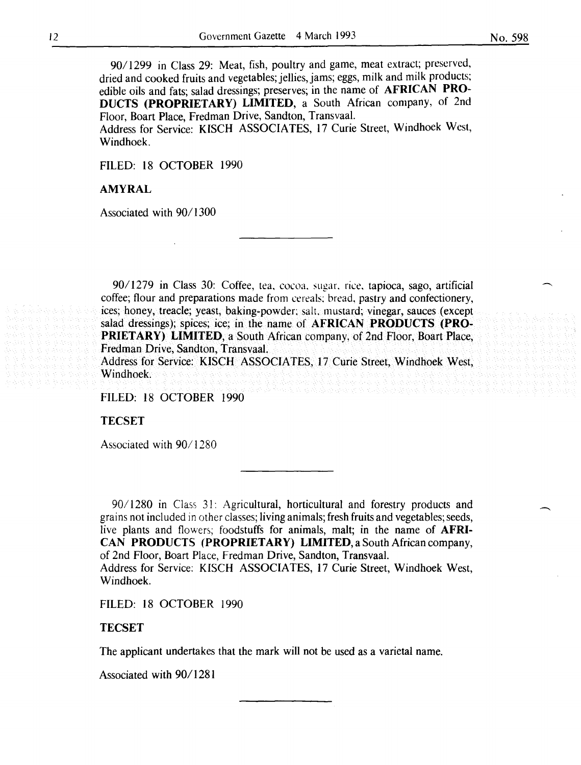*901* 1299 in Class 29: Meat, fish, poultry and game, meat extract; preserved, dried and cooked fruits and vegetables; jellies, jams; eggs, milk and milk products; edible oils and fats; salad dressings; preserves; in the name of AFRICAN PRO-DUCTS (PROPRIETARY) LIMITED, a South African company, of 2nd Floor, Boart Place, Fredman Drive, Sandton, Transvaal.

Address for Service: KISCH ASSOCIATES, 17 Curie Street, Windhoek West, Windhoek.

FILED: 18 OCTOBER 1990

#### AMYRAL

Associated with 90/1300

90/1279 in Class 30: Coffee, tea, cocoa, sugar. rice, tapioca, sago, artificial coffee; flour and preparations made from cereals: bread, pastry and confectionery, ices; honey, treacle; yeast, baking-powder; salt. mustard; vinegar, sauces (except salad dressings); spices; ice; in the name of AFRICAN PRODUCTS (PRO-PRIETARY) LIMITED, a South African company, of 2nd Floor, Boart Place, Fredman Drive, Sandton, Transvaal. Address for Service: KISCH ASSOCIATES, 17 Curie Street, Windhoek West, Windhoek.

FILED: 18 OCTOBER 1990

**TECSET** 

Associated with 90/1280

90/1280 in Class 31: Agricultural, horticultural and forestry products and grains not included in other classes; living animals; fresh fruits and vegetables; seeds, live plants and flowers; foodstuffs for animals, malt; in the name of AFRI-CAN PRODUCTS (PROPRIETARY) LIMITED, a South African company, of 2nd Floor, Boart Place, Fredman Drive, Sandton, Transvaal. Address for Service: KISCH ASSOCIATES, 17 Curie Street, Windhoek West, Windhoek.

FILED: 18 OCTOBER 1990

#### TECSET

The applicant undertakes that the mark will not be used as a varietal name.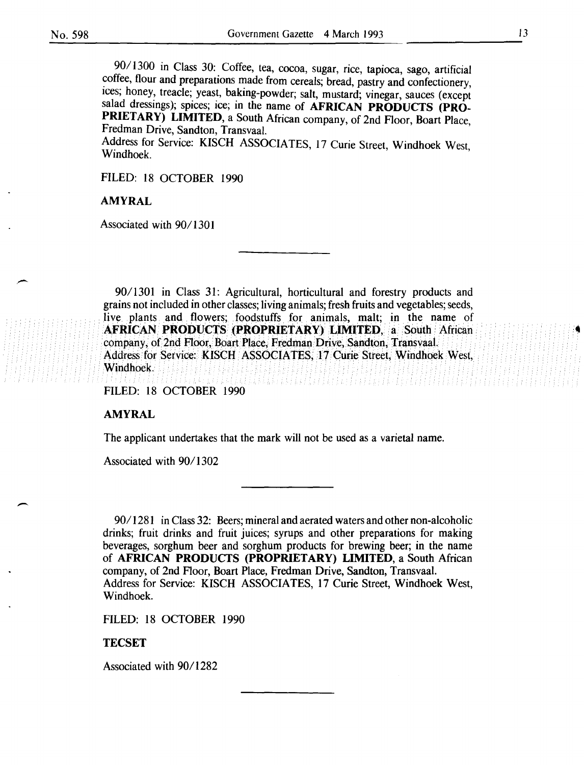90/ 1300 in Class 30: Coffee, tea, cocoa, sugar, rice, tapioca, sago, artificial coffee, flour and preparations made from cereals; bread, pastry and confectionery, ices; honey, treacle; yeast, baking-powder; salt, mustard; vinegar, sauces (except salad dressings); spices; ice; in the name of AFRICAN PRODUCTS (PRO-PRIETARY) LIMITED, a South African company, of 2nd Floor, Boart Place, Fredman Drive, Sandton, Transvaal.

Address for Service: KISCH ASSOCIATES, 17 Curie Street, Windhoek West, Windhoek.

FILED: 18 OCTOBER 1990

### AMYRAL

Associated with 90/1301

90/1301 in Class 31: Agricultural, horticultural and forestry products and grains not included in other classes; living animals; fresh fruits and vegetables; seeds, live plants and flowers; foodstuffs for animals, malt; in the name of AFRICAN PRODUCTS (PROPRIETARY) LIMITED, a South African company, of 2nd Floor, Boart Place, Fredman Drive, Sandton, Transvaal. Address for Setvice: KISCH ASSOCIATES, 17 Curie Street, Windhoek West, . Windhoek.

FILED: 18 OCTOBER 1990

#### AMYRAL

 $\overline{\phantom{a}}$ 

The applicant undertakes that the mark will not be used as a varietal name.

Associated with 90/1302

90/1281 in Class 32: Beers; mineral and aerated waters and other non-alcoholic drinks; fruit drinks and fruit juices; syrups and other preparations for making beverages, sorghum beer and sorghum products for brewing beer; in the name of AFRICAN PRODUCTS (PROPRIETARY) LIMITED, a South African company, of 2nd Floor, Boart Place, Fredman Drive, Sandton, Transvaal. Address for Service: KISCH ASSOCIATES, 17 Curie Street, Windhoek West, Windhoek.

FILED: 18 OCTOBER 1990

#### **TECSET**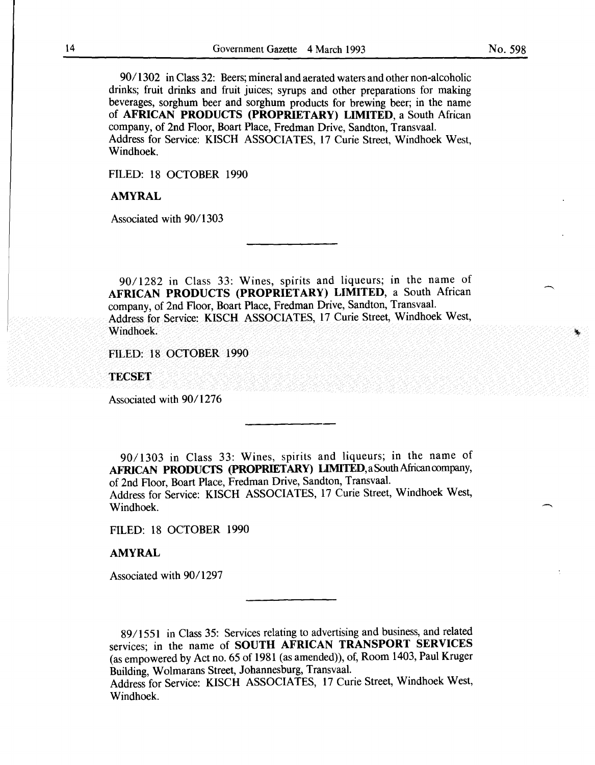No. 598

90/1302 in Class 32: Beers; mineral and aerated waters and other non-alcoholic drinks; fruit drinks and fruit juices; syrups and other preparations for making beverages, sorghum beer and sorghum products for brewing beer; in the name of AFRICAN PRODUCTS (PROPRIETARY) LIMITED, a South African company, of 2nd Floor, Boart Place, Fredman Drive, Sandton, Transvaal. Address for Service: KISCH ASSOCIATES, 17 Curie Street, Windhoek West, Windhoek.

FILED: 18 OCTOBER 1990

# AMYRAL

Associated with 90/1303

 $90/1282$  in Class 33: Wines, spirits and liqueurs; in the name of AFRICAN PRODUCTS (PROPRIETARY) LIMITED, a South African company, of 2nd Floor, Boart Place, Fredman Drive, Sandton, Transvaal. Address for Service: KISCH ASSOCIATES, 17 Curie Street, Windhoek West, Windhoek.

FILED: 18 OCTOBER 1990

**TECSET** 

Associated with 90/1276

90/1303 in Class 33: Wines, spirits and liqueurs; in the name of AFRICAN PRODUCTS (PROPRIETARY) LIMITED, a South African company, of 2nd Floor, Boart Place, Fredman Drive, Sandton, Transvaal. Address for Service: KISCH ASSOCIATES, 17 Curie Street, Windhoek West, Windhoek.

FILED: 18 OCTOBER 1990

#### AMYRAL

Associated with 90/1297

89/1551 in Class 35: Services relating to advertising and business, and related services; in the name of SOUTH AFRICAN TRANSPORT SERVICES (as empowered by Act no. 65 of 1981 (as amended)), of, Room 1403, Paul Kruger Building, Wolmarans Street, Johannesburg, Transvaal.

Address for Service: KISCH ASSOCIATES, 17 Curie Street, Windhoek West, Windhoek.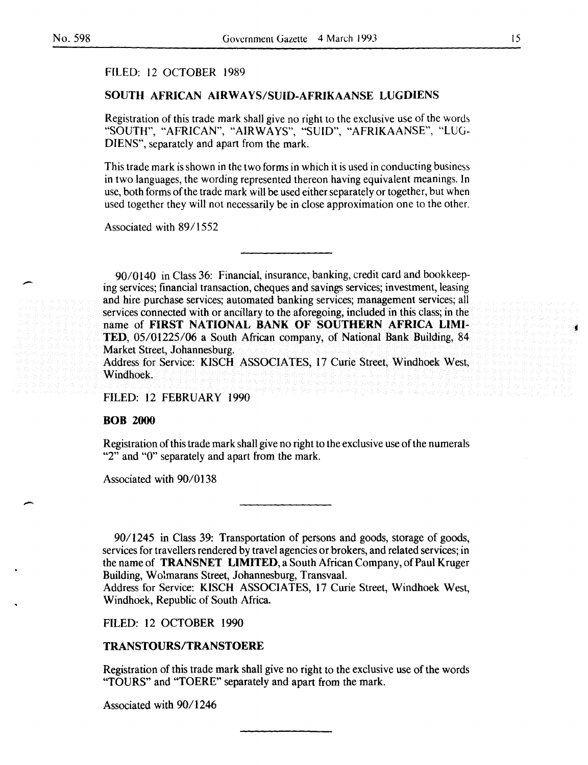-

# FILED: 12 OCTOBER 1989

# SOUTH AFRICAN AIRWA YS/SUID-AFRIKAANSE LUGDIENS

Registration of this trade mark shall give no right to the exclusive use of the words "SOUTH", "AFRICAN", "AIRWAYS", "SUID", "AFRIKAANSE", "LUG-DIENS", separately and apart from the mark.

This trade mark is shown in the two forms in which it is used in conducting business in two languages, the wording represented thereon having equivalent meanings. In use, both forms of the trade mark will be used either separately or together, but when used together they will not necessarily be in close approximation one to the other.

Associated with 89/1552

90/0140 in Class 36: Financial, insurance, banking, credit card and bookkeeping services; financial transaction, cheques and savings services; investment, leasing and hire purchase services; automated banking services; management services; all services connected with or ancillary to the aforegoing, included in this class; in the name of FIRST NATIONAL BANK OF SOUTHERN AFRICA LIMI-TED, 05/01225/06 a South African company, of National Bank Building, 84 Market Street, Johannesburg. Address for Service: KISCH ASSOCIATES, 17 Curie Street, Windhoek West,

Windhoek.

FILED: 12 FEBRUARY 1990

#### **BOB 2000**

Registration ofthis trade mark shall give no right to the exclusive use ofthe numerals "2" and "0" separately and apart from the mark.

Associated with 90/0138

90/1245 in Class 39: Transportation of persons and goods, storage of goods, services for travellers rendered by travel agencies or brokers, and related services; in the name of TRANSNET LIMITED, a South African Company, of Paul Kruger Building, Wolmarans Street, Johannesburg, Transvaal.

Address for Service: KISCH ASSOCIATES, 17 Curie Street, Windhoek West, Windhoek, Republic of South Africa.

FILED: 12 OCTOBER 1990

# TRANSTOURS/TRANSTOERE

Registration of this trade mark shall give no right to the exclusive use of the words "TOURS" and "TOERE" separately and apart from the mark.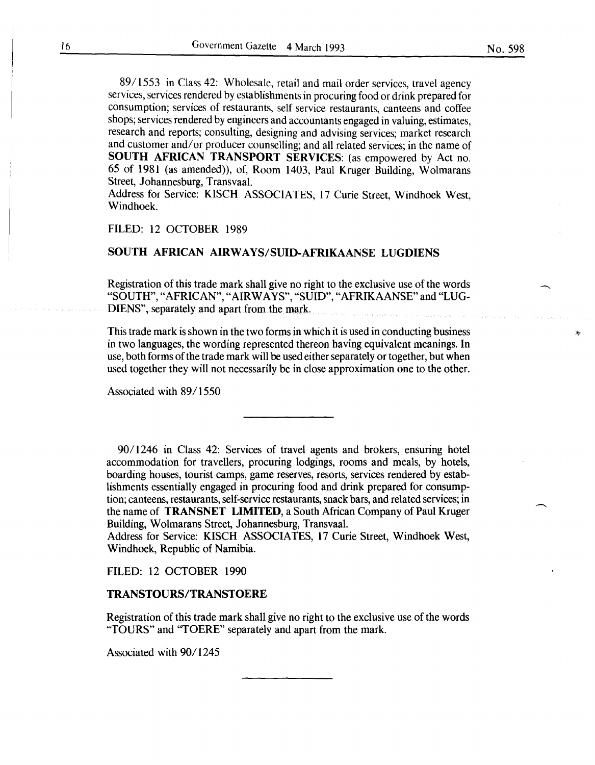89/1553 in Class 42: Wholesale, retail and mail order services, travel agency services, services rendered by establishments in procuring food or drink prepared for consumption; services of restaurants, self service restaurants, canteens and coffee shops; services rendered by engineers and accountants engaged in valuing, estimates, research and reports; consulting, designing and advising services; market research and customer and/ or producer counselling; and all related services; in the name of SOUTH AFRICAN TRANSPORT SERVICES: (as empowered by Act no. 65 of 1981 (as amended)), of, Room 1403, Paul Kruger Building, Wolmarans Street, Johannesburg, Transvaal.

Address for Service: KISCH ASSOCIATES, 17 Curie Street, Windhoek West, Windhoek.

### FILED: 12 OCTOBER 1989

# SOUTH AFRICAN AIRWAYS/SUID-AFRIKAANSE LUGDIENS

Registration of this trade mark shall give no right to the exclusive use of the words "SOUTH", "AFRICAN", "AIRWAYS", "SUID", "AFRIKAANS£" and "LUG-DIENS", separately and apart from the mark.

This trade mark is shown in the two forms in which it is used in conducting business in two languages, the wording represented thereon having equivalent meanings. In use, both forms of the trade mark will be used either separately or together, but when used together they will not necessarily be in close approximation one to the other.

Associated with 89/1550

90/1246 in Class 42: Services of travel agents and brokers, ensuring hotel accommodation for travellers, procuring lodgings, rooms and meals, by hotels, boarding houses, tourist camps, game reserves, resorts, services rendered by establishments essentially engaged in procuring food and drink prepared for consumption; canteens, restaurants, self-service restaurants, snack bars, and related services; in the name of **TRANSNET LIMITED**, a South African Company of Paul Kruger Building, Wolmarans Street, Johannesburg, Transvaal.

Address for Service: KISCH ASSOCIATES, 17 Curie Street, Windhoek West, Windhoek, Republic of Namibia.

#### FILED: 12 OCTOBER 1990

#### TRANSTOURS/TRANSTOERE

Registration of this trade mark shall give no right to the exclusive use of the words "TOURS" and "TOERE" separately and apart from the mark.

Associated with 90/1245

ÿ.